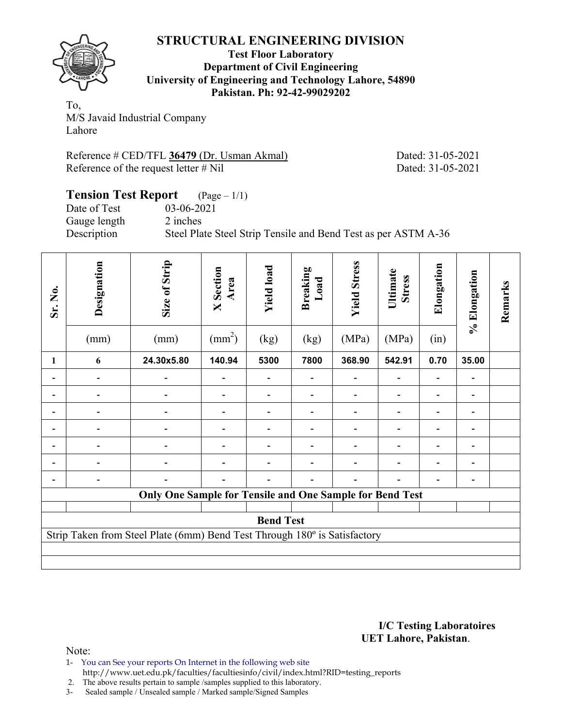

#### **Test Floor Laboratory Department of Civil Engineering University of Engineering and Technology Lahore, 54890 Pakistan. Ph: 92-42-99029202**

To, M/S Javaid Industrial Company Lahore

Reference # CED/TFL **36479** (Dr. Usman Akmal) Dated: 31-05-2021 Reference of the request letter # Nil Dated: 31-05-2021

### **Tension Test Report** (Page – 1/1) Date of Test 03-06-2021 Gauge length 2 inches Description Steel Plate Steel Strip Tensile and Bend Test as per ASTM A-36

| Sr. No. | Designation<br>(mm)                                                       | Size of Strip<br>(mm)                                    | <b>X</b> Section<br>Area<br>$\text{(mm}^2)$ | <b>Yield load</b><br>(kg) | <b>Breaking</b><br>Load<br>(kg) | <b>Yield Stress</b><br>(MPa) | Ultimate<br><b>Stress</b><br>(MPa) | Elongation<br>(in) | % Elongation | Remarks |  |  |  |
|---------|---------------------------------------------------------------------------|----------------------------------------------------------|---------------------------------------------|---------------------------|---------------------------------|------------------------------|------------------------------------|--------------------|--------------|---------|--|--|--|
| 1       | 6                                                                         | 24.30x5.80                                               | 140.94                                      | 5300                      | 7800                            | 368.90                       | 542.91                             | 0.70               | 35.00        |         |  |  |  |
|         |                                                                           |                                                          |                                             |                           |                                 |                              |                                    |                    |              |         |  |  |  |
|         |                                                                           |                                                          |                                             |                           |                                 |                              |                                    |                    |              |         |  |  |  |
|         |                                                                           |                                                          |                                             |                           |                                 |                              |                                    |                    |              |         |  |  |  |
|         |                                                                           |                                                          |                                             |                           |                                 |                              |                                    |                    |              |         |  |  |  |
|         |                                                                           |                                                          |                                             |                           |                                 |                              |                                    |                    | -            |         |  |  |  |
|         | Ē.                                                                        |                                                          |                                             |                           |                                 |                              |                                    |                    | -            |         |  |  |  |
|         |                                                                           |                                                          |                                             |                           |                                 |                              |                                    |                    |              |         |  |  |  |
|         |                                                                           | Only One Sample for Tensile and One Sample for Bend Test |                                             |                           |                                 |                              |                                    |                    |              |         |  |  |  |
|         | <b>Bend Test</b>                                                          |                                                          |                                             |                           |                                 |                              |                                    |                    |              |         |  |  |  |
|         | Strip Taken from Steel Plate (6mm) Bend Test Through 180° is Satisfactory |                                                          |                                             |                           |                                 |                              |                                    |                    |              |         |  |  |  |

**I/C Testing Laboratoires UET Lahore, Pakistan**.

- 1- You can See your reports On Internet in the following web site http://www.uet.edu.pk/faculties/facultiesinfo/civil/index.html?RID=testing\_reports
- 2. The above results pertain to sample /samples supplied to this laboratory.
- 3- Sealed sample / Unsealed sample / Marked sample/Signed Samples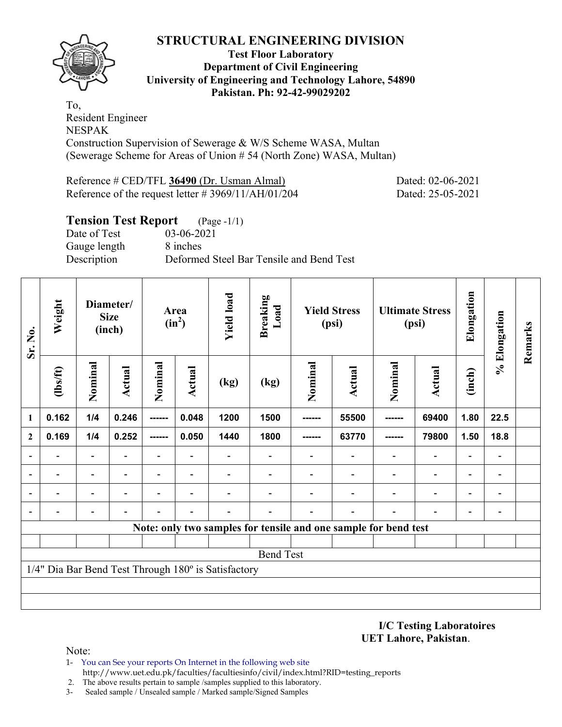

#### **Test Floor Laboratory Department of Civil Engineering University of Engineering and Technology Lahore, 54890 Pakistan. Ph: 92-42-99029202**

To, Resident Engineer NESPAK Construction Supervision of Sewerage & W/S Scheme WASA, Multan (Sewerage Scheme for Areas of Union # 54 (North Zone) WASA, Multan)

Reference # CED/TFL **36490** (Dr. Usman Almal) Dated: 02-06-2021 Reference of the request letter # 3969/11/AH/01/204 Dated: 25-05-2021

### **Tension Test Report** (Page -1/1) Date of Test 03-06-2021 Gauge length 8 inches Description Deformed Steel Bar Tensile and Bend Test

| Sr. No.      | Weight                                              |                          | Diameter/<br><b>Size</b><br>(inch) |                          | Area<br>$(in^2)$         | <b>Yield load</b> | <b>Breaking</b><br>Load  |         | <b>Yield Stress</b><br>(psi)                                    |                          | <b>Ultimate Stress</b><br>(psi) | Elongation               | % Elongation                 | Remarks |
|--------------|-----------------------------------------------------|--------------------------|------------------------------------|--------------------------|--------------------------|-------------------|--------------------------|---------|-----------------------------------------------------------------|--------------------------|---------------------------------|--------------------------|------------------------------|---------|
|              | (lbs/ft)                                            | Nominal                  | Actual                             | Nominal                  | Actual                   | (kg)              | (kg)                     | Nominal | <b>Actual</b>                                                   | Nominal                  | <b>Actual</b>                   | (inch)                   |                              |         |
| 1            | 0.162                                               | 1/4                      | 0.246                              | ------                   | 0.048                    | 1200              | 1500                     | ------  | 55500                                                           | -------                  | 69400                           | 1.80                     | 22.5                         |         |
| $\mathbf{2}$ | 0.169                                               | 1/4                      | 0.252                              | ------                   | 0.050                    | 1440              | 1800                     | ------  | 63770                                                           |                          | 79800                           | 1.50                     | 18.8                         |         |
|              | $\overline{\phantom{0}}$                            | $\overline{\phantom{a}}$ |                                    | Ξ.                       | ۰                        |                   | $\overline{\phantom{0}}$ |         | $\overline{\phantom{0}}$                                        | $\overline{\phantom{0}}$ | $\overline{a}$                  | $\overline{\phantom{a}}$ | $\overline{\phantom{0}}$     |         |
|              | $\overline{\phantom{0}}$                            | $\overline{\phantom{a}}$ | $\overline{\phantom{0}}$           | $\overline{\phantom{0}}$ | $\overline{\phantom{0}}$ |                   |                          |         | $\overline{\phantom{0}}$                                        | $\overline{a}$           | $\overline{a}$                  | $\overline{\phantom{a}}$ | $\qquad \qquad \blacksquare$ |         |
|              |                                                     | $\overline{\phantom{0}}$ |                                    |                          | ٠                        |                   |                          |         |                                                                 |                          | $\qquad \qquad \blacksquare$    | $\overline{\phantom{a}}$ | $\blacksquare$               |         |
|              |                                                     |                          |                                    |                          |                          |                   |                          |         |                                                                 |                          | $\overline{\phantom{0}}$        | $\overline{\phantom{0}}$ | $\qquad \qquad \blacksquare$ |         |
|              |                                                     |                          |                                    |                          |                          |                   |                          |         | Note: only two samples for tensile and one sample for bend test |                          |                                 |                          |                              |         |
|              |                                                     |                          |                                    |                          |                          |                   |                          |         |                                                                 |                          |                                 |                          |                              |         |
|              |                                                     |                          |                                    |                          |                          |                   | <b>Bend Test</b>         |         |                                                                 |                          |                                 |                          |                              |         |
|              | 1/4" Dia Bar Bend Test Through 180° is Satisfactory |                          |                                    |                          |                          |                   |                          |         |                                                                 |                          |                                 |                          |                              |         |
|              |                                                     |                          |                                    |                          |                          |                   |                          |         |                                                                 |                          |                                 |                          |                              |         |
|              |                                                     |                          |                                    |                          |                          |                   |                          |         |                                                                 |                          |                                 |                          |                              |         |

**I/C Testing Laboratoires UET Lahore, Pakistan**.

- 1- You can See your reports On Internet in the following web site http://www.uet.edu.pk/faculties/facultiesinfo/civil/index.html?RID=testing\_reports
- 2. The above results pertain to sample /samples supplied to this laboratory.
- 3- Sealed sample / Unsealed sample / Marked sample/Signed Samples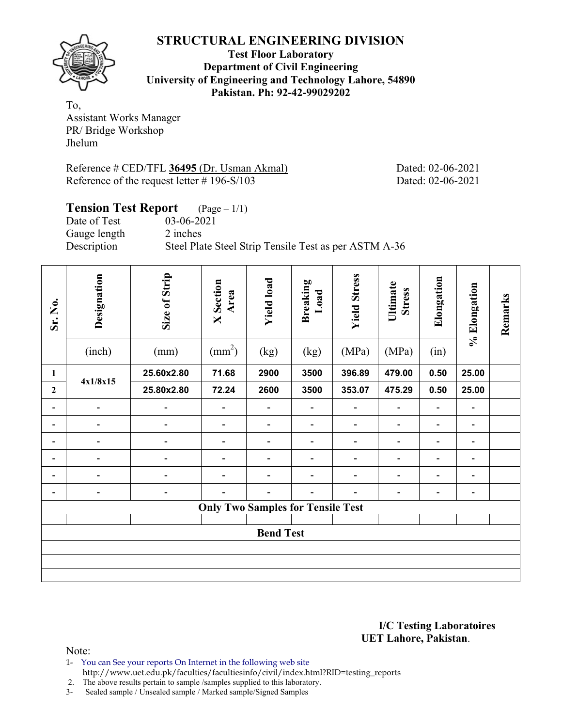

**Test Floor Laboratory Department of Civil Engineering University of Engineering and Technology Lahore, 54890 Pakistan. Ph: 92-42-99029202** 

To, Assistant Works Manager PR/ Bridge Workshop Jhelum

Reference # CED/TFL **36495** (Dr. Usman Akmal) Dated: 02-06-2021 Reference of the request letter # 196-S/103 Dated: 02-06-2021

| <b>Tension Test Report</b> | $({\rm Page} - 1/1)$                                  |
|----------------------------|-------------------------------------------------------|
| Date of Test               | 03-06-2021                                            |
| Gauge length               | 2 inches                                              |
| Description                | Steel Plate Steel Strip Tensile Test as per ASTM A-36 |

| Sr. No.        | Designation<br>(inch)        | Size of Strip<br>(mm)    | <b>X</b> Section<br>Area<br>$\text{(mm}^2)$ | <b>Yield load</b><br>(kg) | <b>Breaking</b><br>Load<br>(kg) | <b>Yield Stress</b><br>(MPa) | Ultimate<br><b>Stress</b><br>(MPa) | Elongation<br>(in) | % Elongation   | Remarks |  |  |  |
|----------------|------------------------------|--------------------------|---------------------------------------------|---------------------------|---------------------------------|------------------------------|------------------------------------|--------------------|----------------|---------|--|--|--|
| $\mathbf{1}$   |                              | 25.60x2.80               | 71.68                                       | 2900                      | 3500                            | 396.89                       | 479.00                             | 0.50               | 25.00          |         |  |  |  |
| $\overline{2}$ | 4x1/8x15                     | 25.80x2.80               | 72.24                                       | 2600                      | 3500                            | 353.07                       | 475.29                             | 0.50               | 25.00          |         |  |  |  |
| -              | $\overline{\phantom{a}}$     |                          |                                             |                           |                                 |                              |                                    |                    | -              |         |  |  |  |
|                | $\qquad \qquad \blacksquare$ |                          | $\overline{a}$                              | -                         | $\qquad \qquad \blacksquare$    | -                            |                                    |                    | $\overline{a}$ |         |  |  |  |
|                | $\overline{\phantom{0}}$     |                          |                                             |                           |                                 |                              |                                    |                    |                |         |  |  |  |
|                | $\qquad \qquad \blacksquare$ |                          |                                             |                           |                                 |                              |                                    |                    | -              |         |  |  |  |
|                | L                            |                          |                                             |                           |                                 |                              |                                    |                    |                |         |  |  |  |
| -              | $\qquad \qquad \blacksquare$ | $\overline{\phantom{0}}$ |                                             | -                         |                                 |                              |                                    |                    | -              |         |  |  |  |
|                |                              |                          | <b>Only Two Samples for Tensile Test</b>    |                           |                                 |                              |                                    |                    |                |         |  |  |  |
|                | <b>Bend Test</b>             |                          |                                             |                           |                                 |                              |                                    |                    |                |         |  |  |  |
|                |                              |                          |                                             |                           |                                 |                              |                                    |                    |                |         |  |  |  |
|                |                              |                          |                                             |                           |                                 |                              |                                    |                    |                |         |  |  |  |

**I/C Testing Laboratoires UET Lahore, Pakistan**.

Note:

1- You can See your reports On Internet in the following web site http://www.uet.edu.pk/faculties/facultiesinfo/civil/index.html?RID=testing\_reports

2. The above results pertain to sample /samples supplied to this laboratory.

3- Sealed sample / Unsealed sample / Marked sample/Signed Samples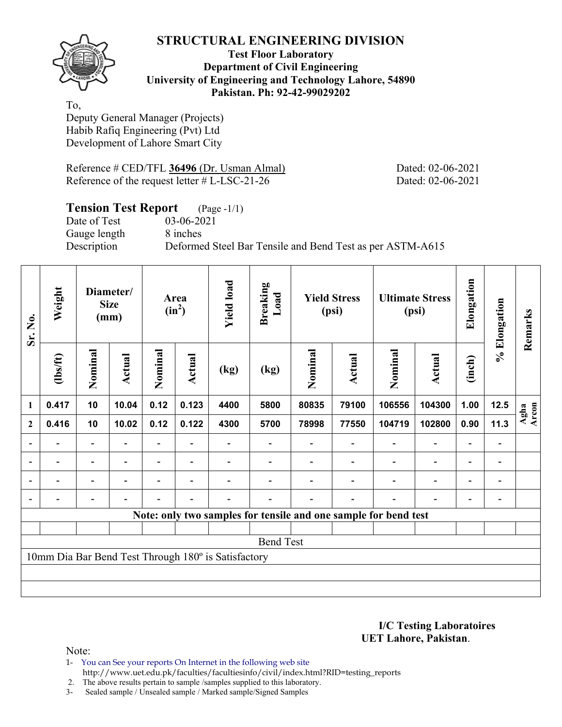

### **Test Floor Laboratory Department of Civil Engineering University of Engineering and Technology Lahore, 54890 Pakistan. Ph: 92-42-99029202**

To, Deputy General Manager (Projects) Habib Rafiq Engineering (Pvt) Ltd Development of Lahore Smart City

Reference # CED/TFL **36496** (Dr. Usman Almal) Dated: 02-06-2021 Reference of the request letter # L-LSC-21-26 Dated: 02-06-2021

| <b>Tension Test Report</b> (Page -1/1) |                                                           |
|----------------------------------------|-----------------------------------------------------------|
| Date of Test                           | 03-06-2021                                                |
| Gauge length                           | 8 inches                                                  |
| Description                            | Deformed Steel Bar Tensile and Bend Test as per ASTM-A615 |

| Sr. No.          | Weight                                              |                          | Diameter/<br><b>Size</b><br>(mm) |         | Area<br>$(in^2)$ | <b>Yield load</b> | <b>Breaking</b><br>Load |         | <b>Yield Stress</b><br>(psi) | <b>Ultimate Stress</b><br>(psi)                                 |                          | Elongation               | % Elongation                 | Remarks       |
|------------------|-----------------------------------------------------|--------------------------|----------------------------------|---------|------------------|-------------------|-------------------------|---------|------------------------------|-----------------------------------------------------------------|--------------------------|--------------------------|------------------------------|---------------|
|                  | (1bs/ft)                                            | Nominal                  | Actual                           | Nominal | Actual           | (kg)              | (kg)                    | Nominal | Actual                       | Nominal                                                         | Actual                   | (inch)                   |                              |               |
| $\mathbf{1}$     | 0.417                                               | 10                       | 10.04                            | 0.12    | 0.123            | 4400              | 5800                    | 80835   | 79100                        | 106556                                                          | 104300                   | 1.00                     | 12.5                         | Agha<br>Arcon |
| $\boldsymbol{2}$ | 0.416                                               | 10                       | 10.02                            | 0.12    | 0.122            | 4300              | 5700                    | 78998   | 77550                        | 104719                                                          | 102800                   | 0.90                     | 11.3                         |               |
|                  |                                                     | $\overline{\phantom{0}}$ |                                  |         |                  |                   |                         |         |                              |                                                                 | $\qquad \qquad -$        | $\overline{\phantom{0}}$ |                              |               |
| $\blacksquare$   | $\blacksquare$                                      | $\overline{\phantom{a}}$ |                                  |         | ۰                |                   |                         |         |                              |                                                                 | $\overline{\phantom{a}}$ | $\overline{\phantom{0}}$ | $\qquad \qquad \blacksquare$ |               |
|                  | -                                                   | Ξ.                       |                                  |         | ٠                |                   |                         |         |                              | $\blacksquare$                                                  | $\overline{\phantom{a}}$ | Ξ.                       | -                            |               |
|                  |                                                     | $\qquad \qquad -$        |                                  |         | $\blacksquare$   |                   |                         |         | $\blacksquare$               |                                                                 | $\overline{\phantom{a}}$ | $\overline{a}$           | $\overline{a}$               |               |
|                  |                                                     |                          |                                  |         |                  |                   |                         |         |                              | Note: only two samples for tensile and one sample for bend test |                          |                          |                              |               |
|                  |                                                     |                          |                                  |         |                  |                   |                         |         |                              |                                                                 |                          |                          |                              |               |
|                  |                                                     |                          |                                  |         |                  |                   | <b>Bend Test</b>        |         |                              |                                                                 |                          |                          |                              |               |
|                  | 10mm Dia Bar Bend Test Through 180° is Satisfactory |                          |                                  |         |                  |                   |                         |         |                              |                                                                 |                          |                          |                              |               |
|                  |                                                     |                          |                                  |         |                  |                   |                         |         |                              |                                                                 |                          |                          |                              |               |
|                  |                                                     |                          |                                  |         |                  |                   |                         |         |                              |                                                                 |                          |                          |                              |               |

**I/C Testing Laboratoires UET Lahore, Pakistan**.

- 1- You can See your reports On Internet in the following web site http://www.uet.edu.pk/faculties/facultiesinfo/civil/index.html?RID=testing\_reports
- 2. The above results pertain to sample /samples supplied to this laboratory.
- 3- Sealed sample / Unsealed sample / Marked sample/Signed Samples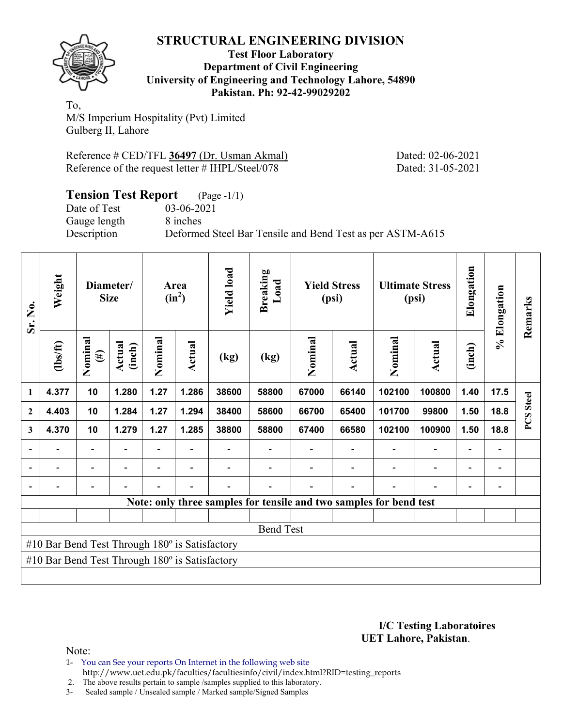

#### **Test Floor Laboratory Department of Civil Engineering University of Engineering and Technology Lahore, 54890 Pakistan. Ph: 92-42-99029202**

To, M/S Imperium Hospitality (Pvt) Limited Gulberg II, Lahore

| Reference # CED/TFL 36497 (Dr. Usman Akmal)      |  |  |
|--------------------------------------------------|--|--|
| Reference of the request letter # IHPL/Steel/078 |  |  |

Dated: 02-06-2021 Dated: 31-05-2021

| <b>Tension Test Report</b> (Page -1/1) |                                                           |
|----------------------------------------|-----------------------------------------------------------|
| Date of Test                           | 03-06-2021                                                |
| Gauge length                           | 8 inches                                                  |
| Description                            | Deformed Steel Bar Tensile and Bend Test as per ASTM-A615 |

| Sr. No.                                        | Weight                                                |                          | Diameter/<br><b>Size</b> |                | Area<br>$(in^2)$ | <b>Yield load</b> | <b>Breaking</b><br>Load                                            |         | <b>Yield Stress</b><br>(psi) |         | <b>Ultimate Stress</b><br>(psi) | Elongation               | % Elongation             | Remarks      |
|------------------------------------------------|-------------------------------------------------------|--------------------------|--------------------------|----------------|------------------|-------------------|--------------------------------------------------------------------|---------|------------------------------|---------|---------------------------------|--------------------------|--------------------------|--------------|
|                                                | (1bs/ft)                                              | Nominal<br>$(\#)$        | Actual<br>(inch)         | Nominal        | Actual           | (kg)              | (kg)                                                               | Nominal | <b>Actual</b>                | Nominal | Actual                          | (inch)                   |                          |              |
| $\mathbf{1}$                                   | 4.377                                                 | 10                       | 1.280                    | 1.27           | 1.286            | 38600             | 58800                                                              | 67000   | 66140                        | 102100  | 100800                          | 1.40                     | 17.5                     | <b>Steel</b> |
| $\mathbf{2}$                                   | 4.403                                                 | 10                       | 1.284                    | 1.27           | 1.294            | 38400             | 58600                                                              | 66700   | 65400                        | 101700  | 99800                           | 1.50                     | 18.8                     | PCS          |
| 3                                              | 4.370                                                 | 10                       | 1.279                    | 1.27           | 1.285            | 38800             | 58800                                                              | 67400   | 66580                        | 102100  | 100900                          | 1.50                     | 18.8                     |              |
|                                                | $\overline{\phantom{0}}$                              | Ξ.                       |                          | Ξ.             | $\blacksquare$   |                   |                                                                    |         |                              |         | $\overline{\phantom{a}}$        | $\overline{\phantom{0}}$ | $\overline{a}$           |              |
|                                                |                                                       | $\overline{\phantom{0}}$ |                          | $\blacksquare$ |                  |                   |                                                                    |         |                              |         | $\overline{a}$                  |                          | $\overline{\phantom{0}}$ |              |
|                                                |                                                       |                          |                          |                |                  |                   |                                                                    |         |                              |         |                                 |                          |                          |              |
|                                                |                                                       |                          |                          |                |                  |                   | Note: only three samples for tensile and two samples for bend test |         |                              |         |                                 |                          |                          |              |
|                                                |                                                       |                          |                          |                |                  |                   |                                                                    |         |                              |         |                                 |                          |                          |              |
|                                                |                                                       |                          |                          |                |                  |                   | <b>Bend Test</b>                                                   |         |                              |         |                                 |                          |                          |              |
| #10 Bar Bend Test Through 180° is Satisfactory |                                                       |                          |                          |                |                  |                   |                                                                    |         |                              |         |                                 |                          |                          |              |
|                                                | #10 Bar Bend Test Through $180^\circ$ is Satisfactory |                          |                          |                |                  |                   |                                                                    |         |                              |         |                                 |                          |                          |              |
|                                                |                                                       |                          |                          |                |                  |                   |                                                                    |         |                              |         |                                 |                          |                          |              |

**I/C Testing Laboratoires UET Lahore, Pakistan**.

Note:

1- You can See your reports On Internet in the following web site http://www.uet.edu.pk/faculties/facultiesinfo/civil/index.html?RID=testing\_reports

2. The above results pertain to sample /samples supplied to this laboratory.

3- Sealed sample / Unsealed sample / Marked sample/Signed Samples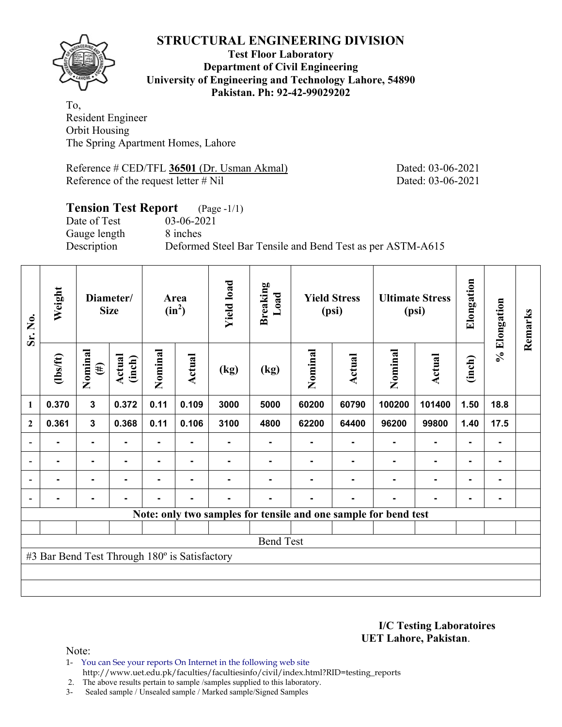

#### **Test Floor Laboratory Department of Civil Engineering University of Engineering and Technology Lahore, 54890 Pakistan. Ph: 92-42-99029202**

To, Resident Engineer Orbit Housing The Spring Apartment Homes, Lahore

Reference # CED/TFL **36501** (Dr. Usman Akmal) Dated: 03-06-2021 Reference of the request letter # Nil Dated: 03-06-2021

### **Tension Test Report** (Page -1/1) Date of Test 03-06-2021 Gauge length 8 inches Description Deformed Steel Bar Tensile and Bend Test as per ASTM-A615

| Sr. No.                  | Weight                                        |                   | Diameter/<br><b>Size</b> |         | Area<br>$(in^2)$ | <b>Yield load</b> | <b>Breaking</b><br>Load                                         |         | <b>Yield Stress</b><br>(psi) |         | <b>Ultimate Stress</b><br>(psi) | Elongation     | % Elongation | Remarks |
|--------------------------|-----------------------------------------------|-------------------|--------------------------|---------|------------------|-------------------|-----------------------------------------------------------------|---------|------------------------------|---------|---------------------------------|----------------|--------------|---------|
|                          | $\frac{2}{10}$                                | Nominal<br>$(\#)$ | Actual<br>(inch)         | Nominal | Actual           | (kg)              | (kg)                                                            | Nominal | Actual                       | Nominal | <b>Actual</b>                   | (inch)         |              |         |
| $\mathbf{1}$             | 0.370                                         | 3                 | 0.372                    | 0.11    | 0.109            | 3000              | 5000                                                            | 60200   | 60790                        | 100200  | 101400                          | 1.50           | 18.8         |         |
| $\boldsymbol{2}$         | 0.361                                         | $\mathbf{3}$      | 0.368                    | 0.11    | 0.106            | 3100              | 4800                                                            | 62200   | 64400                        | 96200   | 99800                           | 1.40           | 17.5         |         |
| $\blacksquare$           |                                               | $\blacksquare$    |                          |         |                  |                   |                                                                 |         |                              |         |                                 |                |              |         |
| $\overline{\phantom{a}}$ |                                               | $\blacksquare$    |                          |         | $\blacksquare$   |                   |                                                                 |         |                              |         | $\blacksquare$                  | $\blacksquare$ |              |         |
| $\blacksquare$           |                                               | $\blacksquare$    |                          |         | $\blacksquare$   |                   |                                                                 |         |                              |         | $\blacksquare$                  | ٠              |              |         |
|                          |                                               | ۰                 |                          |         | $\blacksquare$   | ۰                 |                                                                 |         | $\blacksquare$               |         |                                 | ۰              |              |         |
|                          |                                               |                   |                          |         |                  |                   | Note: only two samples for tensile and one sample for bend test |         |                              |         |                                 |                |              |         |
|                          |                                               |                   |                          |         |                  |                   |                                                                 |         |                              |         |                                 |                |              |         |
|                          |                                               |                   |                          |         |                  |                   | <b>Bend Test</b>                                                |         |                              |         |                                 |                |              |         |
|                          | #3 Bar Bend Test Through 180° is Satisfactory |                   |                          |         |                  |                   |                                                                 |         |                              |         |                                 |                |              |         |
|                          |                                               |                   |                          |         |                  |                   |                                                                 |         |                              |         |                                 |                |              |         |
|                          |                                               |                   |                          |         |                  |                   |                                                                 |         |                              |         |                                 |                |              |         |

**I/C Testing Laboratoires UET Lahore, Pakistan**.

- 1- You can See your reports On Internet in the following web site http://www.uet.edu.pk/faculties/facultiesinfo/civil/index.html?RID=testing\_reports
- 2. The above results pertain to sample /samples supplied to this laboratory.
- 3- Sealed sample / Unsealed sample / Marked sample/Signed Samples